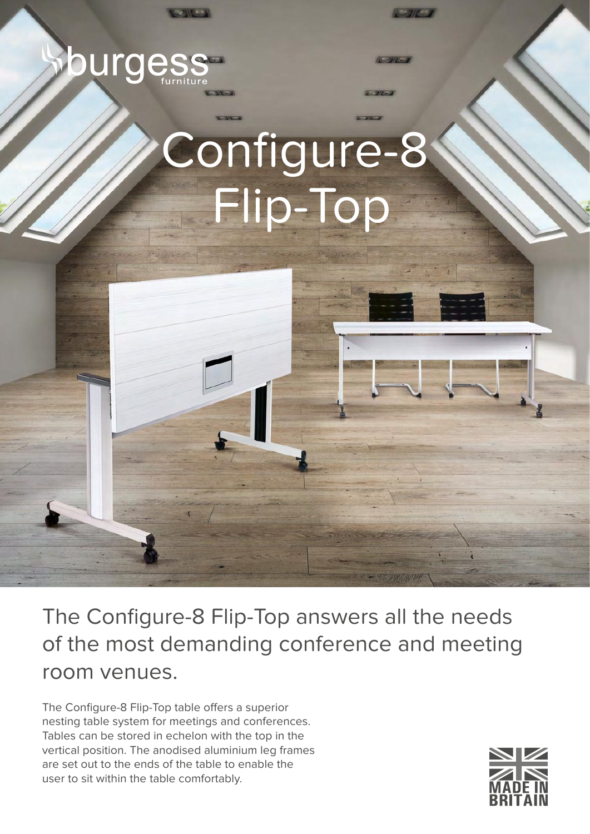## Configure-8 Flip-Top

 $N = N$ 

burges

The Configure-8 Flip-Top answers all the needs of the most demanding conference and meeting room venues.

The Configure-8 Flip-Top table offers a superior nesting table system for meetings and conferences. Tables can be stored in echelon with the top in the vertical position. The anodised aluminium leg frames are set out to the ends of the table to enable the user to sit within the table comfortably.